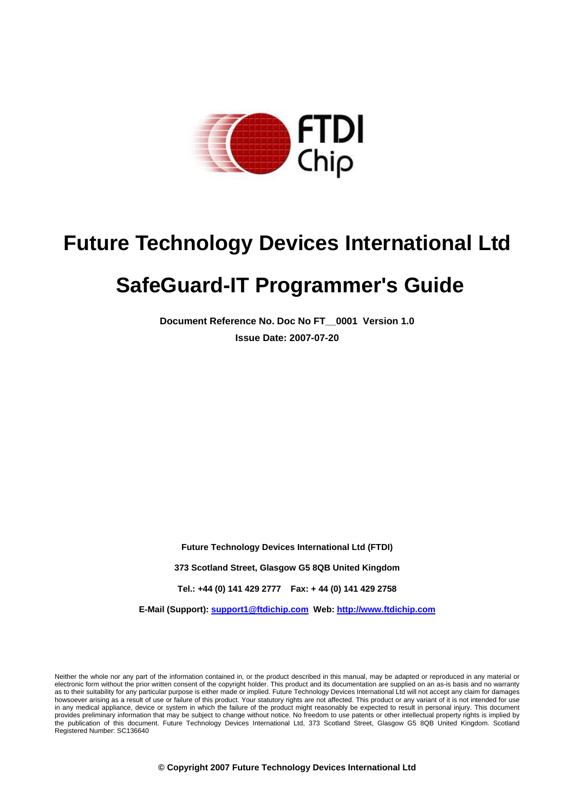

# **Future Technology Devices International Ltd**

# **SafeGuard-IT Programmer's Guide**

**Document Reference No. Doc No FT\_\_0001 Version 1.0 Issue Date: 2007-07-20** 

**Future Technology Devices International Ltd (FTDI)** 

**373 Scotland Street, Glasgow G5 8QB United Kingdom** 

**Tel.: +44 (0) 141 429 2777 Fax: + 44 (0) 141 429 2758** 

**E-Mail (Support): support1@ftdichip.com Web: http://www.ftdichip.com**

Neither the whole nor any part of the information contained in, or the product described in this manual, may be adapted or reproduced in any material or electronic form without the prior written consent of the copyright holder. This product and its documentation are supplied on an as-is basis and no warranty as to their suitability for any particular purpose is either made or implied. Future Technology Devices International Ltd will not accept any claim for damages howsoever arising as a result of use or failure of this product. Your statutory rights are not affected. This product or any variant of it is not intended for use in any medical appliance, device or system in which the failure of the product might reasonably be expected to result in personal injury. This document provides preliminary information that may be subject to change without notice. No freedom to use patents or other intellectual property rights is implied by the publication of this document. Future Technology Devices International Ltd, 373 Scotland Street, Glasgow G5 8QB United Kingdom. Scotland Registered Number: SC136640

**© Copyright 2007 Future Technology Devices International Ltd**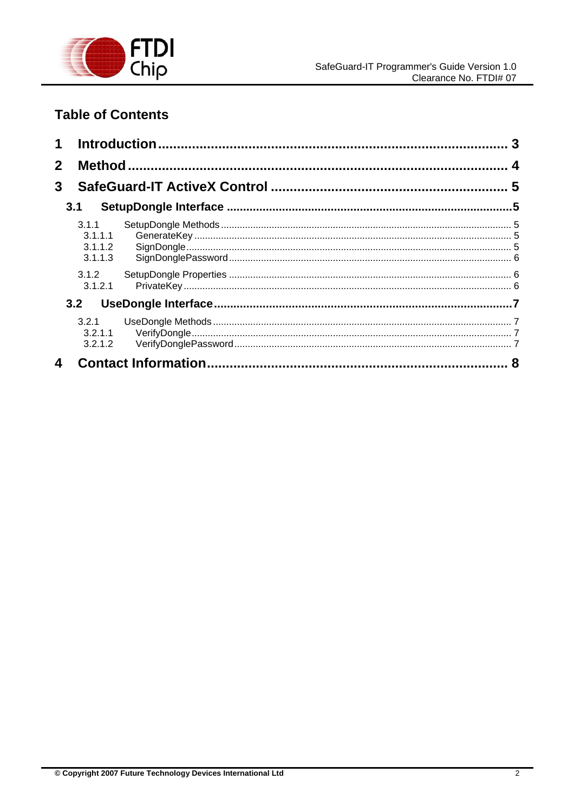

# **Table of Contents**

| $\mathbf 1$  |                                        |  |  |
|--------------|----------------------------------------|--|--|
| $\mathbf{2}$ |                                        |  |  |
| $\mathbf{3}$ |                                        |  |  |
|              | 3.1                                    |  |  |
|              | 3.1.1<br>3.1.1.1<br>3.1.1.2<br>3.1.1.3 |  |  |
|              | 3.1.2<br>3.1.2.1                       |  |  |
|              | 3.2                                    |  |  |
|              | 3.2.1<br>3.2.1.1<br>3.2.1.2            |  |  |
| 4            |                                        |  |  |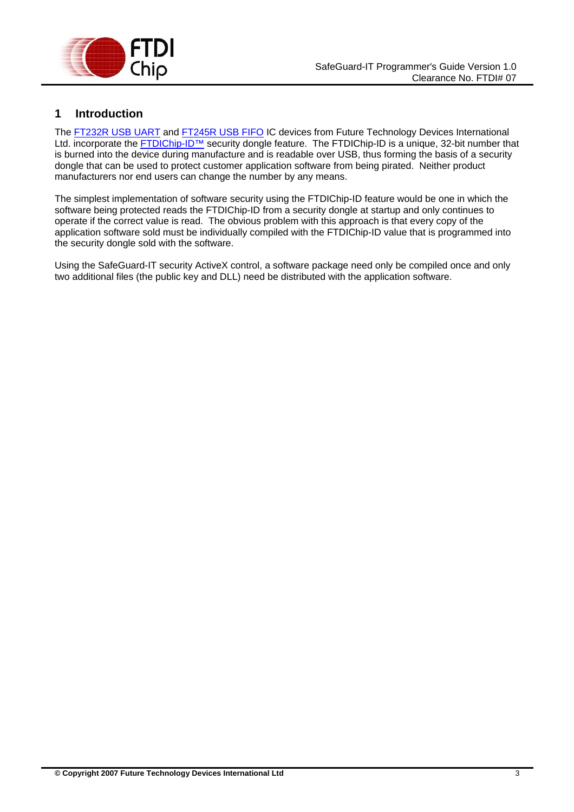<span id="page-2-0"></span>

# **1 Introduction**

The [FT232R USB UART](http://www.ftdichip.com/Products/FT232R.htm) and [FT245R USB FIFO](http://www.ftdichip.com/Products/FT245R.htm) IC devices from Future Technology Devices International Ltd. incorporate the [FTDIChip-ID™](http://www.ftdichip.com/Projects/FTDIChip-ID.htm) security dongle feature. The FTDIChip-ID is a unique, 32-bit number that is burned into the device during manufacture and is readable over USB, thus forming the basis of a security dongle that can be used to protect customer application software from being pirated. Neither product manufacturers nor end users can change the number by any means.

The simplest implementation of software security using the FTDIChip-ID feature would be one in which the software being protected reads the FTDIChip-ID from a security dongle at startup and only continues to operate if the correct value is read. The obvious problem with this approach is that every copy of the application software sold must be individually compiled with the FTDIChip-ID value that is programmed into the security dongle sold with the software.

Using the SafeGuard-IT security ActiveX control, a software package need only be compiled once and only two additional files (the public key and DLL) need be distributed with the application software.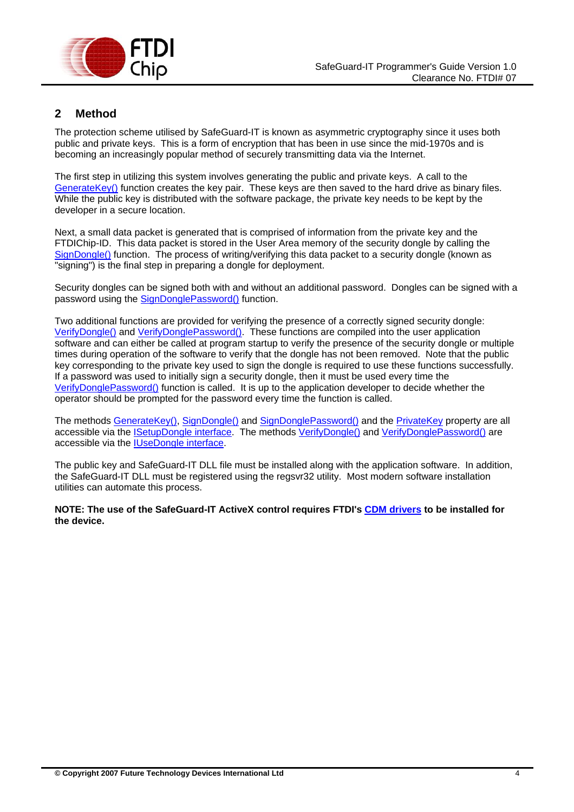<span id="page-3-0"></span>

# **2 Method**

The protection scheme utilised by SafeGuard-IT is known as asymmetric cryptography since it uses both public and private keys. This is a form of encryption that has been in use since the mid-1970s and is becoming an increasingly popular method of securely transmitting data via the Internet.

The first step in utilizing this system involves generating the public and private keys. A call to the [GenerateKey\(\)](#page-4-0) function creates the key pair. These keys are then saved to the hard drive as binary files. While the public key is distributed with the software package, the private key needs to be kept by the developer in a secure location.

Next, a small data packet is generated that is comprised of information from the private key and the FTDIChip-ID. This data packet is stored in the User Area memory of the security dongle by calling the [SignDongle\(\)](#page-4-0) function. The process of writing/verifying this data packet to a security dongle (known as "signing") is the final step in preparing a dongle for deployment.

Security dongles can be signed both with and without an additional password. Dongles can be signed with a password using the [SignDonglePassword\(\)](#page-5-0) function.

Two additional functions are provided for verifying the presence of a correctly signed security dongle: [VerifyDongle\(\)](#page-6-0) and [VerifyDonglePassword\(\).](#page-6-0) These functions are compiled into the user application software and can either be called at program startup to verify the presence of the security dongle or multiple times during operation of the software to verify that the dongle has not been removed. Note that the public key corresponding to the private key used to sign the dongle is required to use these functions successfully. If a password was used to initially sign a security dongle, then it must be used every time the [VerifyDonglePassword\(\)](#page-6-0) function is called. It is up to the application developer to decide whether the operator should be prompted for the password every time the function is called.

The methods [GenerateKey\(\)](#page-4-0), [SignDongle\(\)](#page-4-0) and [SignDonglePassword\(\)](#page-5-0) and the [PrivateKey](#page-5-0) property are all accessible via the **ISetupDongle interface**. The methods *VerifyDongle()* and *VerifyDonglePassword()* are accessible via the [IUseDongle interface.](#page-6-0)

The public key and SafeGuard-IT DLL file must be installed along with the application software. In addition, the SafeGuard-IT DLL must be registered using the regsvr32 utility. Most modern software installation utilities can automate this process.

**NOTE: The use of the SafeGuard-IT ActiveX control requires FTDI's [CDM drivers](http://www.ftdichip.com/Drivers/VCP.htm) to be installed for the device.**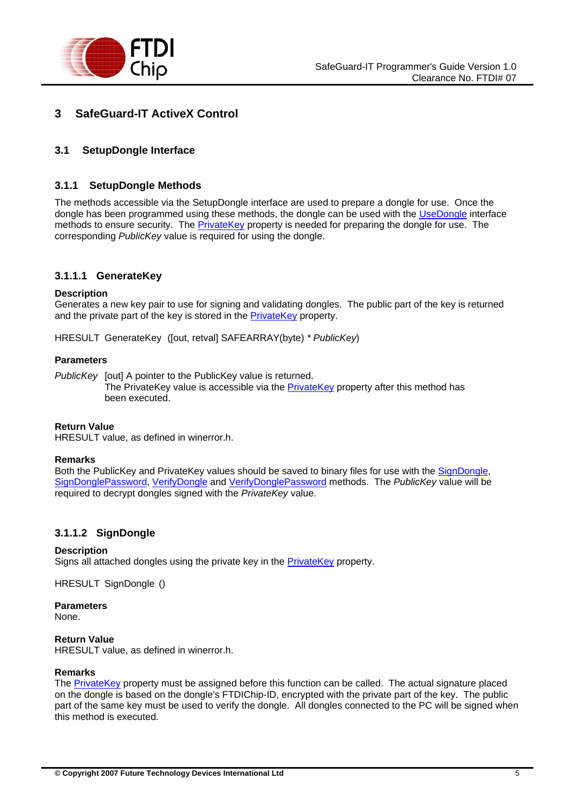<span id="page-4-0"></span>

# **3 SafeGuard-IT ActiveX Control**

# **3.1 SetupDongle Interface**

## **3.1.1 SetupDongle Methods**

The methods accessible via the SetupDongle interface are used to prepare a dongle for use. Once the dongle has been programmed using these methods, the dongle can be used with the [UseDongle](#page-6-0) interface methods to ensure security. The [PrivateKey](#page-5-0) property is needed for preparing the dongle for use. The corresponding *PublicKey* value is required for using the dongle.

## **3.1.1.1 GenerateKey**

#### **Description**

Generates a new key pair to use for signing and validating dongles. The public part of the key is returned and the private part of the key is stored in the [PrivateKey](#page-5-0) property.

HRESULT GenerateKey ([out, retval] SAFEARRAY(byte) *\* PublicKey*)

#### **Parameters**

*PublicKey* [out] A pointer to the PublicKey value is returned. The [PrivateKey](#page-5-0) value is accessible via the PrivateKey property after this method has been executed.

#### **Return Value**

HRESULT value, as defined in winerror.h.

#### **Remarks**

Both the PublicKey and PrivateKey values should be saved to binary files for use with the SignDongle. [SignDonglePassword](#page-5-0), [VerifyDongle](#page-6-0) and [VerifyDonglePassword](#page-6-0) methods. The *PublicKey* value will be required to decrypt dongles signed with the *PrivateKey* value.

#### **3.1.1.2 SignDongle**

#### **Description**

Signs all attached dongles using the private key in the [PrivateKey](#page-5-0) property.

HRESULT SignDongle ()

**Parameters** 

None.

#### **Return Value**

HRESULT value, as defined in winerror.h.

#### **Remarks**

The [PrivateKey](#page-5-0) property must be assigned before this function can be called. The actual signature placed on the dongle is based on the dongle's FTDIChip-ID, encrypted with the private part of the key. The public part of the same key must be used to verify the dongle. All dongles connected to the PC will be signed when this method is executed.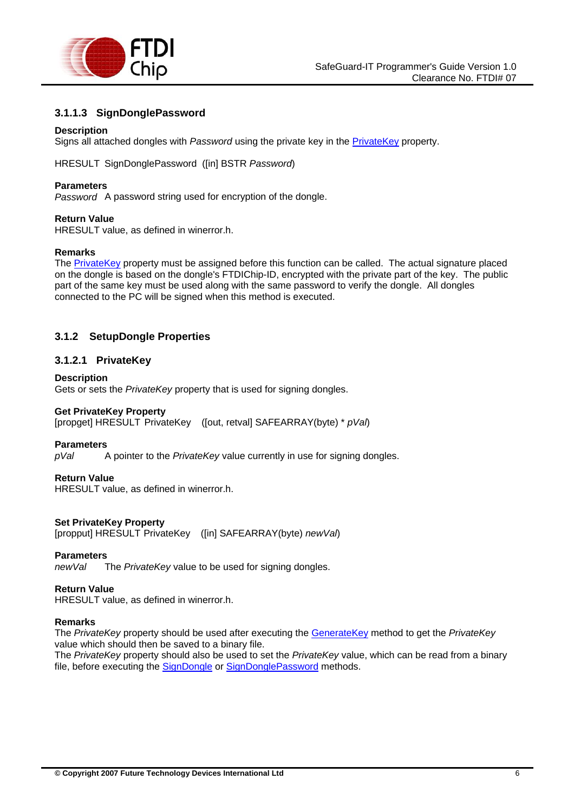<span id="page-5-0"></span>

# **3.1.1.3 SignDonglePassword**

#### **Description**

Signs all attached dongles with *Password* using the private key in the [PrivateKey](#page-5-0) property.

HRESULT SignDonglePassword ([in] BSTR *Password*)

#### **Parameters**

*Password* A password string used for encryption of the dongle.

#### **Return Value**

HRESULT value, as defined in winerror.h.

#### **Remarks**

The [PrivateKey](#page-5-0) property must be assigned before this function can be called. The actual signature placed on the dongle is based on the dongle's FTDIChip-ID, encrypted with the private part of the key. The public part of the same key must be used along with the same password to verify the dongle. All dongles connected to the PC will be signed when this method is executed.

## **3.1.2 SetupDongle Properties**

#### **3.1.2.1 PrivateKey**

#### **Description**

Gets or sets the *PrivateKey* property that is used for signing dongles.

#### **Get PrivateKey Property**

[propget] HRESULT PrivateKey ([out, retval] SAFEARRAY(byte) \* *pVal*)

#### **Parameters**

*pVal* A pointer to the *PrivateKey* value currently in use for signing dongles.

#### **Return Value**

HRESULT value, as defined in winerror.h.

#### **Set PrivateKey Property**

[propput] HRESULT PrivateKey ([in] SAFEARRAY(byte) *newVal*)

# **Parameters**<br> $newVal$

*The PrivateKey* value to be used for signing dongles.

#### **Return Value**

HRESULT value, as defined in winerror.h.

#### **Remarks**

The *PrivateKey* property should be used after executing the [GenerateKey](#page-4-0) method to get the *PrivateKey* value which should then be saved to a binary file.

The *PrivateKey* property should also be used to set the *PrivateKey* value, which can be read from a binary file, before executing the [SignDongle](#page-4-0) or [SignDonglePassword](#page-5-0) methods.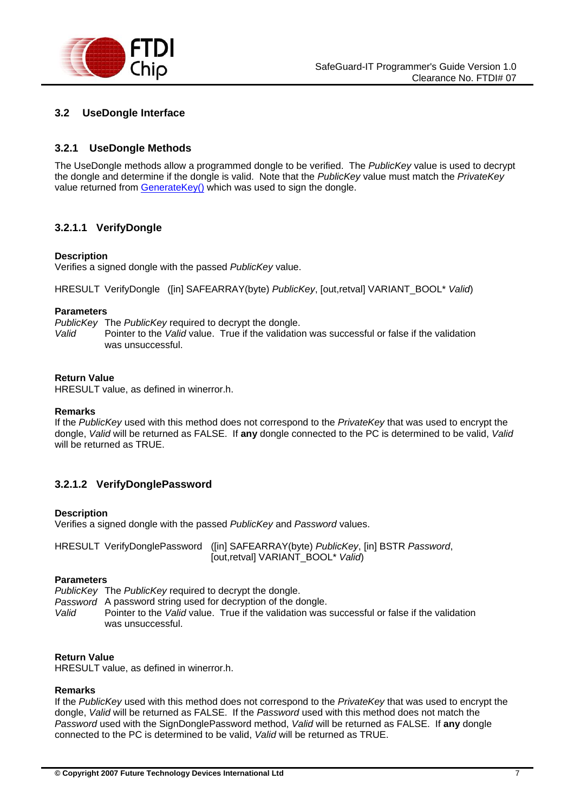<span id="page-6-0"></span>

# **3.2 UseDongle Interface**

# **3.2.1 UseDongle Methods**

The UseDongle methods allow a programmed dongle to be verified. The *PublicKey* value is used to decrypt the dongle and determine if the dongle is valid. Note that the *PublicKey* value must match the *PrivateKey* value returned from [GenerateKey\(\)](#page-4-0) which was used to sign the dongle.

# **3.2.1.1 VerifyDongle**

#### **Description**

Verifies a signed dongle with the passed *PublicKey* value.

HRESULT VerifyDongle ([in] SAFEARRAY(byte) *PublicKey*, [out,retval] VARIANT\_BOOL\* *Valid*)

#### **Parameters**

*PublicKey* The *PublicKey* required to decrypt the dongle.

*Valid* Pointer to the *Valid* value. True if the validation was successful or false if the validation was unsuccessful.

#### **Return Value**

HRESULT value, as defined in winerror.h.

#### **Remarks**

If the *PublicKey* used with this method does not correspond to the *PrivateKey* that was used to encrypt the dongle, *Valid* will be returned as FALSE. If **any** dongle connected to the PC is determined to be valid, *Valid* will be returned as TRUE.

## **3.2.1.2 VerifyDonglePassword**

#### **Description**

Verifies a signed dongle with the passed *PublicKey* and *Password* values.

| HRESULT VerifyDonglePassword ([in] SAFEARRAY(byte) PublicKey, [in] BSTR Password, |
|-----------------------------------------------------------------------------------|
| [out,retval] VARIANT_BOOL* Valid)                                                 |

#### **Parameters**

*PublicKey* The *PublicKey* required to decrypt the dongle.

*Password* A password string used for decryption of the dongle.

*Valid* Pointer to the *Valid* value. True if the validation was successful or false if the validation was unsuccessful.

#### **Return Value**

HRESULT value, as defined in winerror.h.

#### **Remarks**

If the *PublicKey* used with this method does not correspond to the *PrivateKey* that was used to encrypt the dongle, *Valid* will be returned as FALSE. If the *Password* used with this method does not match the *Password* used with the SignDonglePassword method, *Valid* will be returned as FALSE. If **any** dongle connected to the PC is determined to be valid, *Valid* will be returned as TRUE.